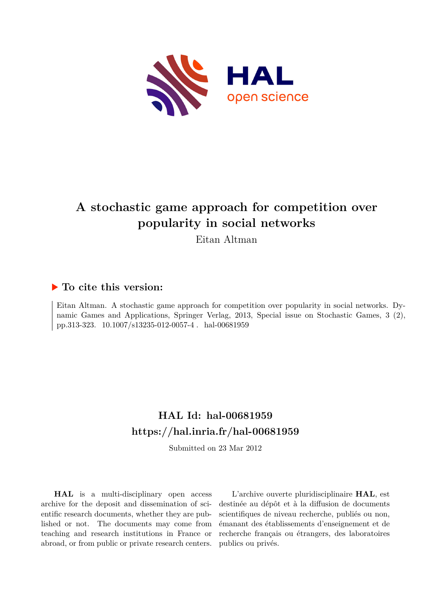

# **A stochastic game approach for competition over popularity in social networks**

Eitan Altman

# **To cite this version:**

Eitan Altman. A stochastic game approach for competition over popularity in social networks. Dynamic Games and Applications, Springer Verlag, 2013, Special issue on Stochastic Games, 3 (2), pp.313-323. 10.1007/s13235-012-0057-4. hal-00681959

# **HAL Id: hal-00681959 <https://hal.inria.fr/hal-00681959>**

Submitted on 23 Mar 2012

**HAL** is a multi-disciplinary open access archive for the deposit and dissemination of scientific research documents, whether they are published or not. The documents may come from teaching and research institutions in France or abroad, or from public or private research centers.

L'archive ouverte pluridisciplinaire **HAL**, est destinée au dépôt et à la diffusion de documents scientifiques de niveau recherche, publiés ou non, émanant des établissements d'enseignement et de recherche français ou étrangers, des laboratoires publics ou privés.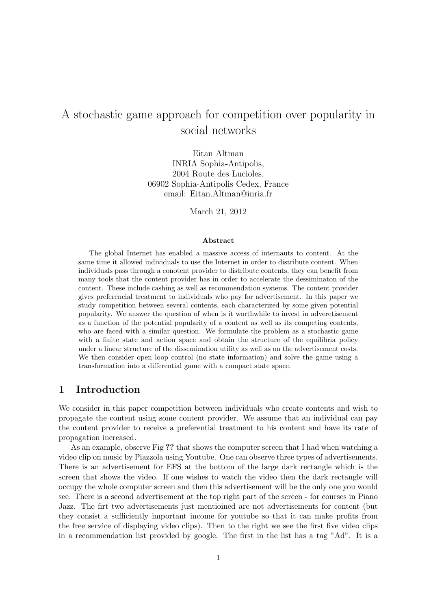# A stochastic game approach for competition over popularity in social networks

Eitan Altman INRIA Sophia-Antipolis, 2004 Route des Lucioles, 06902 Sophia-Antipolis Cedex, France email: Eitan.Altman@inria.fr

March 21, 2012

#### Abstract

The global Internet has enabled a massive access of internauts to content. At the same time it allowed individuals to use the Internet in order to distribute content. When individuals pass through a conotent provider to distribute contents, they can benefit from many tools that the content provider has in order to accelerate the dessiminaton of the content. These include cashing as well as recommendation systems. The content provider gives preferencial treatment to individuals who pay for advertisement. In this paper we study competition between several contents, each characterized by some given potential popularity. We answer the question of when is it worthwhile to invest in adveretisement as a function of the potential popularity of a content as well as its competing contents, who are faced with a similar question. We formulate the problem as a stochastic game with a finite state and action space and obtain the structure of the equilibria policy under a linear structure of the dissemination utility as well as on the advertisement costs. We then consider open loop control (no state information) and solve the game using a transformation into a differential game with a compact state space.

### 1 Introduction

We consider in this paper competition between individuals who create contents and wish to propagate the content using some content provider. We assume that an individual can pay the content provider to receive a preferential treatment to his content and have its rate of propagation increased.

As an example, observe Fig ?? that shows the computer screen that I had when watching a video clip on music by Piazzola using Youtube. One can observe three types of advertisements. There is an advertisement for EFS at the bottom of the large dark rectangle which is the screen that shows the video. If one wishes to watch the video then the dark rectangle will occupy the whole computer screen and then this advertisement will be the only one you would see. There is a second advertisement at the top right part of the screen - for courses in Piano Jazz. The firt two advertisements just mentioined are not advertisements for content (but they consist a sufficiently important income for youtube so that it can make profits from the free service of displaying video clips). Then to the right we see the first five video clips in a recommendation list provided by google. The first in the list has a tag "Ad". It is a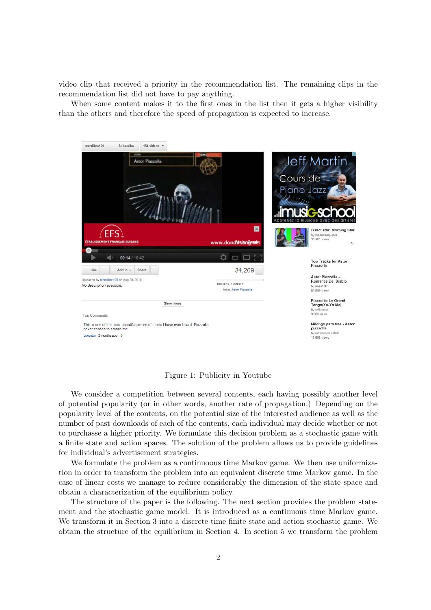video clip that received a priority in the recommendation list. The remaining clips in the recommendation list did not have to pay anything.

When some content makes it to the first ones in the list then it gets a higher visibility than the others and therefore the speed of propagation is expected to increase.



Figure 1: Publicity in Youtube

We consider a competition between several contents, each having possibly another level of potential popularity (or in other words, another rate of propagation.) Depending on the popularity level of the contents, on the potential size of the interested audience as well as the number of past downloads of each of the contents, each individual may decide whether or not to purchasse a higher priority. We formulate this decision problem as a stochastic game with a finite state and action spaces. The solution of the problem allows us to provide guidelines for individual's advertisement strategies.

We formulate the problem as a continuoous time Markov game. We then use uniformization in order to transform the problem into an equivalent discrete time Markov game. In the case of linear costs we manage to reduce considerably the dimension of the state space and obtain a characterization of the equilibrium policy.

The structure of the paper is the following. The next section provides the problem statement and the stochastic game model. It is introduced as a continuous time Markov game. We transform it in Section 3 into a discrete time finite state and action stochastic game. We obtain the structure of the equilibrium in Section 4. In section 5 we transform the problem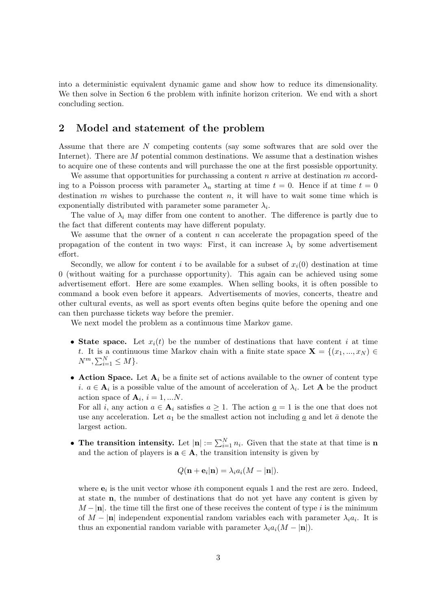into a deterministic equivalent dynamic game and show how to reduce its dimensionality. We then solve in Section 6 the problem with infinite horizon criterion. We end with a short concluding section.

### 2 Model and statement of the problem

Assume that there are N competing contents (say some softwares that are sold over the Internet). There are M potential common destinations. We assume that a destination wishes to acquire one of these contents and will purchasse the one at the first possisble opportunity.

We assume that opportunities for purchasing a content n arrive at destination  $m$  according to a Poisson process with parameter  $\lambda_n$  starting at time  $t = 0$ . Hence if at time  $t = 0$ destination  $m$  wishes to purchasse the content  $n$ , it will have to wait some time which is exponentially distributed with parameter some parameter  $\lambda_i$ .

The value of  $\lambda_i$  may differ from one content to another. The difference is partly due to the fact that different contents may have different populaty.

We assume that the owner of a content  $n$  can accelerate the propagation speed of the propagation of the content in two ways: First, it can increase  $\lambda_i$  by some advertisement effort.

Secondly, we allow for content i to be available for a subset of  $x_i(0)$  destination at time 0 (without waiting for a purchasse opportunity). This again can be achieved using some advertisement effort. Here are some examples. When selling books, it is often possible to command a book even before it appears. Advertisements of movies, concerts, theatre and other cultural events, as well as sport events often begins quite before the opening and one can then purchasse tickets way before the premier.

We next model the problem as a continuous time Markov game.

- State space. Let  $x_i(t)$  be the number of destinations that have content i at time t. It is a continuous time Markov chain with a finite state space  $\mathbf{X} = \{(x_1, ..., x_N) \in$  $N^m, \sum_{i=1}^N \leq M$ .
- Action Space. Let  $A_i$  be a finite set of actions available to the owner of content type *i*.  $a \in \mathbf{A}_i$  is a possible value of the amount of acceleration of  $\lambda_i$ . Let **A** be the product action space of  $\mathbf{A}_i$ ,  $i = 1, ...N$ .

For all i, any action  $a \in \mathbf{A}_i$  satisfies  $a \geq 1$ . The action  $\underline{a} = 1$  is the one that does not use any acceleration. Let  $a_1$  be the smallest action not including a and let  $\bar{a}$  denote the largest action.

• The transition intensity. Let  $|\mathbf{n}| := \sum_{i=1}^{N} n_i$ . Given that the state at that time is n and the action of players is  $a \in A$ , the transition intensity is given by

$$
Q(\mathbf{n} + \mathbf{e}_i|\mathbf{n}) = \lambda_i a_i(M - |\mathbf{n}|).
$$

where  $e_i$  is the unit vector whose *i*th component equals 1 and the rest are zero. Indeed, at state n, the number of destinations that do not yet have any content is given by  $M - |n|$ . the time till the first one of these receives the content of type i is the minimum of  $M - |\mathbf{n}|$  independent exponential random variables each with parameter  $\lambda_i a_i$ . It is thus an exponential random variable with parameter  $\lambda_i a_i (M - |\mathbf{n}|)$ .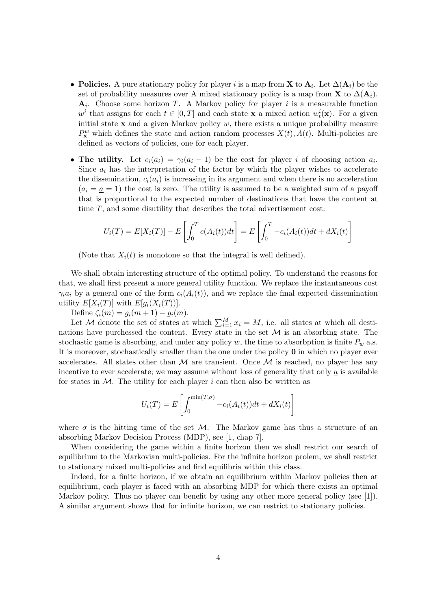- Policies. A pure stationary policy for player i is a map from **X** to  $A_i$ . Let  $\Delta(A_i)$  be the set of probability measures over A mixed stationary policy is a map from **X** to  $\Delta(\mathbf{A}_i)$ .  $A_i$ . Choose some horizon T. A Markov policy for player i is a measurable function  $w^i$  that assigns for each  $t \in [0, T]$  and each state **x** a mixed action  $w_t^i(\mathbf{x})$ . For a given initial state  $x$  and a given Markov policy  $w$ , there exists a unique probability measure  $P_{\mathbf{x}}^w$  which defines the state and action random processes  $X(t)$ ,  $A(t)$ . Multi-policies are defined as vectors of policies, one for each player.
- The utility. Let  $c_i(a_i) = \gamma_i(a_i 1)$  be the cost for player i of choosing action  $a_i$ . Since  $a_i$  has the interpretation of the factor by which the player wishes to accelerate the dissemination,  $c_i(a_i)$  is increasing in its argument and when there is no acceleration  $(a_i = a = 1)$  the cost is zero. The utility is assumed to be a weighted sum of a payoff that is proportional to the expected number of destinations that have the content at time  $T$ , and some disutility that describes the total advertisement cost:

$$
U_i(T) = E[X_i(T)] - E\left[\int_0^T c(A_i(t))dt\right] = E\left[\int_0^T -c_i(A_i(t))dt + dX_i(t)\right]
$$

(Note that  $X_i(t)$  is monotone so that the integral is well defined).

We shall obtain interesting structure of the optimal policy. To understand the reasons for that, we shall first present a more general utility function. We replace the instantaneous cost  $\gamma_i a_i$  by a general one of the form  $c_i(A_i(t))$ , and we replace the final expected dissemination utility  $E[X_i(T)]$  with  $E[g_i(X_i(T))]$ .

Define  $\zeta_i(m) = g_i(m+1) - g_i(m)$ .

Let M denote the set of states at which  $\sum_{i=1}^{M} x_i = M$ , i.e. all states at which all destinations have purchessed the content. Every state in the set  $\mathcal M$  is an absorbing state. The stochastic game is absorbing, and under any policy w, the time to absorbption is finite  $P_w$  a.s. It is moreover, stochastically smaller than the one under the policy 0 in which no player ever accelerates. All states other than  $\mathcal M$  are transient. Once  $\mathcal M$  is reached, no player has any incentive to ever accelerate; we may assume without loss of generality that only  $a$  is available for states in  $M$ . The utility for each player i can then also be written as

$$
U_i(T) = E\left[\int_0^{\min(T,\sigma)} -c_i(A_i(t))dt + dX_i(t)\right]
$$

where  $\sigma$  is the hitting time of the set M. The Markov game has thus a structure of an absorbing Markov Decision Process (MDP), see [1, chap 7].

When considering the game within a finite horizon then we shall restrict our search of equilibrium to the Markovian multi-policies. For the infinite horizon prolem, we shall restrict to stationary mixed multi-policies and find equilibria within this class.

Indeed, for a finite horizon, if we obtain an equilibrium within Markov policies then at equilibrium, each player is faced with an absorbing MDP for which there exists an optimal Markov policy. Thus no player can benefit by using any other more general policy (see [1]). A similar argument shows that for infinite horizon, we can restrict to stationary policies.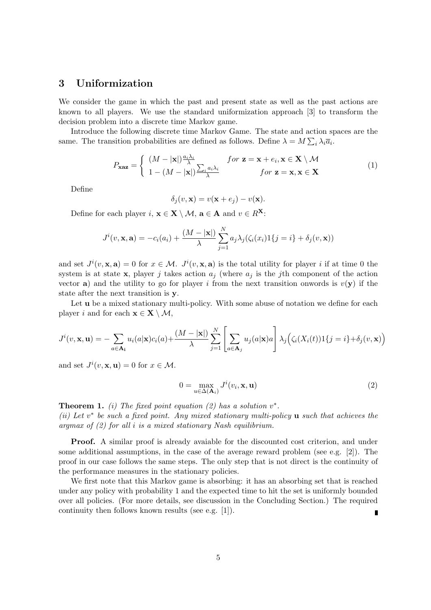## 3 Uniformization

We consider the game in which the past and present state as well as the past actions are known to all players. We use the standard uniformization approach [3] to transform the decision problem into a discrete time Markov game.

Introduce the following discrete time Markov Game. The state and action spaces are the same. The transition probabilities are defined as follows. Define  $\lambda = M \sum_i \lambda_i \overline{a}_i$ .

$$
P_{\mathbf{xaz}} = \begin{cases} (M - |\mathbf{x}|) \frac{a_i \lambda_i}{\lambda} & \text{for } \mathbf{z} = \mathbf{x} + e_i, \mathbf{x} \in \mathbf{X} \setminus \mathcal{M} \\ 1 - (M - |\mathbf{x}|) \frac{\sum_i a_i \lambda_i}{\lambda} & \text{for } \mathbf{z} = \mathbf{x}, \mathbf{x} \in \mathbf{X} \end{cases}
$$
(1)

Define

$$
\delta_j(v, \mathbf{x}) = v(\mathbf{x} + e_j) - v(\mathbf{x}).
$$

Define for each player  $i, \mathbf{x} \in \mathbf{X} \setminus \mathcal{M}$ ,  $\mathbf{a} \in \mathbf{A}$  and  $v \in R^{\mathbf{X}}$ :

$$
J^{i}(v, \mathbf{x}, \mathbf{a}) = -c_{i}(a_{i}) + \frac{(M - |\mathbf{x}|)}{\lambda} \sum_{j=1}^{N} a_{j} \lambda_{j} (\zeta_{i}(x_{i}) 1\{j = i\} + \delta_{j}(v, \mathbf{x}))
$$

and set  $J^{i}(v, \mathbf{x}, \mathbf{a}) = 0$  for  $x \in \mathcal{M}$ .  $J^{i}(v, \mathbf{x}, \mathbf{a})$  is the total utility for player i if at time 0 the system is at state x, player j takes action  $a_i$  (where  $a_i$  is the jth component of the action vector a) and the utility to go for player i from the next transition onwords is  $v(\mathbf{y})$  if the state after the next transition is y.

Let **u** be a mixed stationary multi-policy. With some abuse of notation we define for each player i and for each  $\mathbf{x} \in \mathbf{X} \setminus \mathcal{M}$ ,

$$
J^{i}(v, \mathbf{x}, \mathbf{u}) = -\sum_{a \in \mathbf{A}_{i}} u_{i}(a|\mathbf{x})c_{i}(a) + \frac{(M - |\mathbf{x}|)}{\lambda} \sum_{j=1}^{N} \left[ \sum_{a \in \mathbf{A}_{j}} u_{j}(a|\mathbf{x})a \right] \lambda_{j} \left( \zeta_{i}(X_{i}(t))1\{j=i\} + \delta_{j}(v, \mathbf{x}) \right)
$$

and set  $J^i(v, \mathbf{x}, \mathbf{u}) = 0$  for  $x \in \mathcal{M}$ .

$$
0 = \max_{u \in \Delta(\mathbf{A}_i)} J^i(v_i, \mathbf{x}, \mathbf{u})
$$
\n(2)

**Theorem 1.** (i) The fixed point equation (2) has a solution  $v^*$ . (ii) Let  $v^*$  be such a fixed point. Any mixed stationary multi-policy  $u$  such that achieves the argmax of  $(2)$  for all i is a mixed stationary Nash equilibrium.

Proof. A similar proof is already avaiable for the discounted cost criterion, and under some additional assumptions, in the case of the average reward problem (see e.g. [2]). The proof in our case follows the same steps. The only step that is not direct is the continuity of the performance measures in the stationary policies.

We first note that this Markov game is absorbing: it has an absorbing set that is reached under any policy with probability 1 and the expected time to hit the set is uniformly bounded over all policies. (For more details, see discussion in the Concluding Section.) The required continuity then follows known results (see e.g. [1]). n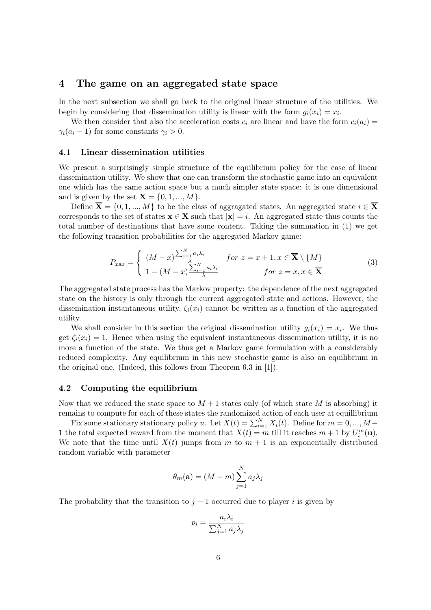### 4 The game on an aggregated state space

In the next subsection we shall go back to the original linear structure of the utilities. We begin by considering that dissemination utility is linear with the form  $g_i(x_i) = x_i$ .

We then consider that also the acceleration costs  $c_i$  are linear and have the form  $c_i(a_i)$  $\gamma_i(a_i-1)$  for some constants  $\gamma_i > 0$ .

#### 4.1 Linear dissemination utilities

We present a surprisingly simple structure of the equilibrium policy for the case of linear dissemination utility. We show that one can transform the stochastic game into an equivalent one which has the same action space but a much simpler state space: it is one dimensional and is given by the set  $\overline{\mathbf{X}} = \{0, 1, ..., M\}.$ 

Define  $\overline{\mathbf{X}} = \{0, 1, ..., M\}$  to be the class of aggragated states. An aggregated state  $i \in \overline{\mathbf{X}}$ corresponds to the set of states  $\mathbf{x} \in \mathbf{X}$  such that  $|\mathbf{x}| = i$ . An aggregated state thus counts the total number of destinations that have some content. Taking the summation in (1) we get the following transition probabilities for the aggregated Markov game:

$$
P_{x \mathbf{a} z} = \begin{cases} (M - x)^{\frac{\sum_{i=1}^{N} a_i \lambda_i}{\lambda}} & \text{for } z = x + 1, x \in \overline{\mathbf{X}} \setminus \{M\} \\ 1 - (M - x)^{\frac{\sum_{i=1}^{N} a_i \lambda_i}{\lambda}} & \text{for } z = x, x \in \overline{\mathbf{X}} \end{cases}
$$
(3)

The aggregated state process has the Markov property: the dependence of the next aggregated state on the history is only through the current aggregated state and actions. However, the dissemination instantaneous utility,  $\zeta_i(x_i)$  cannot be written as a function of the aggregated utility.

We shall consider in this section the original dissemination utility  $g_i(x_i) = x_i$ . We thus get  $\zeta_i(x_i) = 1$ . Hence when using the equivalent instantaneous dissemination utility, it is no more a function of the state. We thus get a Markov game formulation with a considerably reduced complexity. Any equilibrium in this new stochastic game is also an equilibrium in the original one. (Indeed, this follows from Theorem 6.3 in [1]).

#### 4.2 Computing the equilibrium

Now that we reduced the state space to  $M+1$  states only (of which state M is absorbing) it remains to compute for each of these states the randomized action of each user at equillibrium

Fix some stationary stationary policy u. Let  $X(t) = \sum_{i=1}^{N} X_i(t)$ . Define for  $m = 0, ..., M -$ 1 the total expected reward from the moment that  $X(t) = m$  till it reaches  $m + 1$  by  $U_i^m(\mathbf{u})$ . We note that the time until  $X(t)$  jumps from m to  $m + 1$  is an exponentially distributed random variable with parameter

$$
\theta_m(\mathbf{a}) = (M - m) \sum_{j=1}^{N} a_j \lambda_j
$$

The probability that the transition to  $j + 1$  occurred due to player i is given by

$$
p_i = \frac{a_i \lambda_i}{\sum_{j=1}^N a_j \lambda_j}
$$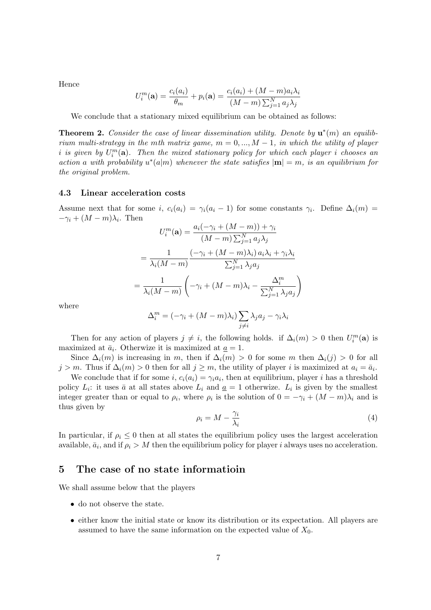Hence

$$
U_i^m(\mathbf{a}) = \frac{c_i(a_i)}{\theta_m} + p_i(\mathbf{a}) = \frac{c_i(a_i) + (M - m)a_i\lambda_i}{(M - m)\sum_{j=1}^N a_j\lambda_j}
$$

We conclude that a stationary mixed equilibrium can be obtained as follows:

**Theorem 2.** Consider the case of linear dissemination utility. Denote by  $\mathbf{u}^*(m)$  an equilibrium multi-strategy in the mth matrix game,  $m = 0, ..., M - 1$ , in which the utility of player i is given by  $U_i^m(\mathbf{a})$ . Then the mixed stationary policy for which each player i chooses an action a with probability  $u^*(a|m)$  whenever the state satisfies  $|m| = m$ , is an equilibrium for the original problem.

#### 4.3 Linear acceleration costs

Assume next that for some i,  $c_i(a_i) = \gamma_i(a_i - 1)$  for some constants  $\gamma_i$ . Define  $\Delta_i(m) =$  $-\gamma_i + (M - m)\lambda_i$ . Then  $(\alpha+ (M-m)) +$ 

$$
U_i^m(\mathbf{a}) = \frac{a_i(-\gamma_i + (M-m)) + \gamma_i}{(M-m)\sum_{j=1}^N a_j \lambda_j}
$$

$$
= \frac{1}{\lambda_i(M-m)} \frac{(-\gamma_i + (M-m)\lambda_i) a_i \lambda_i + \gamma_i \lambda_i}{\sum_{j=1}^N \lambda_j a_j}
$$

$$
= \frac{1}{\lambda_i(M-m)} \left( -\gamma_i + (M-m)\lambda_i - \frac{\Delta_i^m}{\sum_{j=1}^N \lambda_j a_j} \right)
$$

$$
\Delta_i^m = (-\gamma_i + (M-m)\lambda_i) \sum \lambda_j a_j - \gamma_i \lambda_i
$$

where

$$
i \qquad \qquad \frac{1}{j} \qquad \frac{1}{j} \qquad \frac{1}{j} \qquad \frac{1}{j} \qquad \frac{1}{j} \qquad \frac{1}{j} \qquad \frac{1}{j} \qquad \frac{1}{j} \qquad \frac{1}{j} \qquad \frac{1}{j} \qquad \frac{1}{j} \qquad \frac{1}{j} \qquad \frac{1}{j} \qquad \frac{1}{j} \qquad \frac{1}{j} \qquad \frac{1}{j} \qquad \frac{1}{j} \qquad \frac{1}{j} \qquad \frac{1}{j} \qquad \frac{1}{j} \qquad \frac{1}{j} \qquad \frac{1}{j} \qquad \frac{1}{j} \qquad \frac{1}{j} \qquad \frac{1}{j} \qquad \frac{1}{j} \qquad \frac{1}{j} \qquad \frac{1}{j} \qquad \frac{1}{j} \qquad \frac{1}{j} \qquad \frac{1}{j} \qquad \frac{1}{j} \qquad \frac{1}{j} \qquad \frac{1}{j} \qquad \frac{1}{j} \qquad \frac{1}{j} \qquad \frac{1}{j} \qquad \frac{1}{j} \qquad \frac{1}{j} \qquad \frac{1}{j} \qquad \frac{1}{j} \qquad \frac{1}{j} \qquad \frac{1}{j} \qquad \frac{1}{j} \qquad \frac{1}{j} \qquad \frac{1}{j} \qquad \frac{1}{j} \qquad \frac{1}{j} \qquad \frac{1}{j} \qquad \frac{1}{j} \qquad \frac{1}{j} \qquad \frac{1}{j} \qquad \frac{1}{j} \qquad \frac{1}{j} \qquad \frac{1}{j} \qquad \frac{1}{j} \qquad \frac{1}{j} \qquad \frac{1}{j} \qquad \frac{1}{j} \qquad \frac{1}{j} \qquad \frac{1}{j} \qquad \frac{1}{j} \qquad \frac{1}{j} \qquad \frac{1}{j} \qquad \frac{1}{j} \qquad \frac{1}{j} \qquad \frac{1}{j} \qquad \frac{1}{j} \qquad \frac{1}{j} \qquad \frac{1}{j} \qquad \frac{1}{j} \qquad \frac{1}{j} \qquad \frac{1}{j} \qquad \frac{1}{j} \qquad \frac{1}{j} \qquad \frac
$$

Then for any action of players  $j \neq i$ , the following holds. if  $\Delta_i(m) > 0$  then  $U_i^m(\mathbf{a})$  is maximized at  $\bar{a}_i$ . Otherwize it is maximized at  $\underline{a} = 1$ .

Since  $\Delta_i(m)$  is increasing in m, then if  $\Delta_i(m) > 0$  for some m then  $\Delta_i(j) > 0$  for all  $j > m$ . Thus if  $\Delta_i(m) > 0$  then for all  $j \geq m$ , the utility of player i is maximized at  $a_i = \bar{a}_i$ .

We conclude that if for some i,  $c_i(a_i) = \gamma_i a_i$ , then at equilibrium, player i has a threshold policy  $L_i$ : it uses  $\bar{a}$  at all states above  $L_i$  and  $\underline{a} = 1$  otherwize.  $L_i$  is given by the smallest integer greater than or equal to  $\rho_i$ , where  $\rho_i$  is the solution of  $0 = -\gamma_i + (M - m)\lambda_i$  and is thus given by

$$
\rho_i = M - \frac{\gamma_i}{\lambda_i} \tag{4}
$$

In particular, if  $\rho_i \leq 0$  then at all states the equilibrium policy uses the largest acceleration available,  $\bar{a}_i$ , and if  $\rho_i > M$  then the equilibrium policy for player i always uses no acceleration.

## 5 The case of no state informatioin

We shall assume below that the players

- do not observe the state.
- either know the initial state or know its distribution or its expectation. All players are assumed to have the same information on the expected value of  $X_0$ .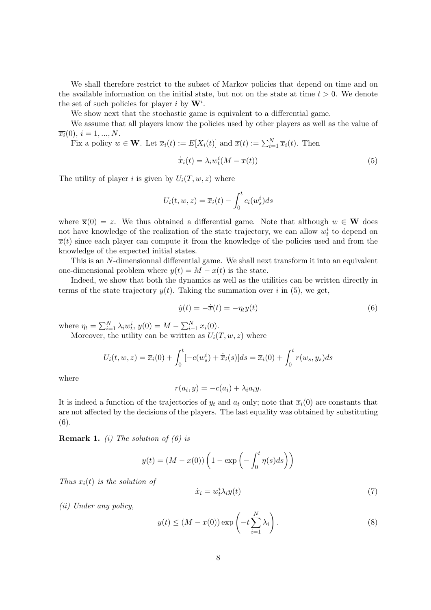We shall therefore restrict to the subset of Markov policies that depend on time and on the available information on the initial state, but not on the state at time  $t > 0$ . We denote the set of such policies for player i by  $W^i$ .

We show next that the stochastic game is equivalent to a differential game.

We assume that all players know the policies used by other players as well as the value of  $\overline{x_i}(0), i = 1, ..., N$ .

Fix a policy  $w \in \mathbf{W}$ . Let  $\overline{x}_i(t) := E[X_i(t)]$  and  $\overline{x}(t) := \sum_{i=1}^N \overline{x}_i(t)$ . Then

$$
\dot{\overline{x}}_i(t) = \lambda_i w_i^i (M - \overline{x}(t))
$$
\n(5)

The utility of player i is given by  $U_i(T, w, z)$  where

$$
U_i(t, w, z) = \overline{x}_i(t) - \int_0^t c_i(w_s^i) ds
$$

where  $\bar{\mathbf{x}}(0) = z$ . We thus obtained a differential game. Note that although  $w \in \mathbf{W}$  does not have knowledge of the realization of the state trajectory, we can allow  $w_t^i$  to depend on  $\overline{x}(t)$  since each player can compute it from the knowledge of the policies used and from the knowledge of the expected initial states.

This is an N-dimensionnal differential game. We shall next transform it into an equivalent one-dimensional problem where  $y(t) = M - \overline{x}(t)$  is the state.

Indeed, we show that both the dynamics as well as the utilities can be written directly in terms of the state trajectory  $y(t)$ . Taking the summation over i in (5), we get,

$$
\dot{y}(t) = -\dot{\overline{x}}(t) = -\eta_t y(t) \tag{6}
$$

where  $\eta_t = \sum_{i=1}^N \lambda_i w_t^i$ ,  $y(0) = M - \sum_{i=1}^N \overline{x}_i(0)$ . Moreover, the utility can be written as  $U_i(T, w, z)$  where

> $U_i(t, w, z) = \overline{x}_i(0) + \int_0^t$  $[-c(w_s^i) + \dot{\overline{x}}_i(s)]ds = \overline{x}_i(0) + \int_0^t r(w_s, y_s)ds$

where

$$
r(a_i, y) = -c(a_i) + \lambda_i a_i y.
$$

It is indeed a function of the trajectories of  $y_t$  and  $a_t$  only; note that  $\overline{x}_i(0)$  are constants that are not affected by the decisions of the players. The last equality was obtained by substituting (6).

**Remark 1.** (i) The solution of (6) is

$$
y(t) = (M - x(0)) \left( 1 - \exp \left( - \int_0^t \eta(s) ds \right) \right)
$$

Thus  $x_i(t)$  is the solution of

$$
\dot{x}_i = w_t^i \lambda_i y(t) \tag{7}
$$

(ii) Under any policy,

$$
y(t) \le (M - x(0)) \exp\left(-t \sum_{i=1}^{N} \lambda_i\right).
$$
 (8)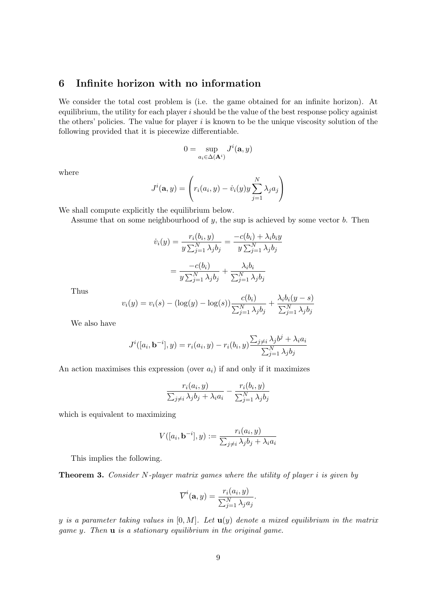## 6 Infinite horizon with no information

We consider the total cost problem is (i.e. the game obtained for an infinite horizon). At equilibrium, the utility for each player  $i$  should be the value of the best response policy against the others' policies. The value for player  $i$  is known to be the unique viscosity solution of the following provided that it is piecewize differentiable.

$$
0 = \sup_{a_i \in \Delta(\mathbf{A}^i)} J^i(\mathbf{a}, y)
$$

where

$$
J^{i}(\mathbf{a}, y) = \left(r_{i}(a_{i}, y) - \dot{v}_{i}(y)y\sum_{j=1}^{N} \lambda_{j} a_{j}\right)
$$

We shall compute explicitly the equilibrium below.

Assume that on some neighbourhood of  $y$ , the sup is achieved by some vector  $b$ . Then

$$
\dot{v}_i(y) = \frac{r_i(b_i, y)}{y \sum_{j=1}^N \lambda_j b_j} = \frac{-c(b_i) + \lambda_i b_i y}{y \sum_{j=1}^N \lambda_j b_j}
$$

$$
= \frac{-c(b_i)}{y \sum_{j=1}^N \lambda_j b_j} + \frac{\lambda_i b_i}{\sum_{j=1}^N \lambda_j b_j}
$$

Thus

$$
v_i(y) = v_i(s) - (\log(y) - \log(s)) \frac{c(b_i)}{\sum_{j=1}^{N} \lambda_j b_j} + \frac{\lambda_i b_i(y - s)}{\sum_{j=1}^{N} \lambda_j b_j}
$$

We also have

$$
J^{i}([a_i, \mathbf{b}^{-i}], y) = r_i(a_i, y) - r_i(b_i, y) \frac{\sum_{j \neq i} \lambda_j b^j + \lambda_i a_i}{\sum_{j=1}^N \lambda_j b_j}
$$

An action maximises this expression (over  $a_i$ ) if and only if it maximizes

$$
\frac{r_i(a_i, y)}{\sum_{j \neq i} \lambda_j b_j + \lambda_i a_i} - \frac{r_i(b_i, y)}{\sum_{j=1}^N \lambda_j b_j}
$$

which is equivalent to maximizing

$$
V([a_i, \mathbf{b}^{-i}], y) := \frac{r_i(a_i, y)}{\sum_{j \neq i} \lambda_j b_j + \lambda_i a_i}
$$

This implies the following.

**Theorem 3.** Consider N-player matrix games where the utility of player i is given by

$$
\overline{V}^{i}(\mathbf{a}, y) = \frac{r_i(a_i, y)}{\sum_{j=1}^{N} \lambda_j a_j}.
$$

y is a parameter taking values in  $[0, M]$ . Let  $\mathbf{u}(y)$  denote a mixed equilibrium in the matrix game y. Then u is a stationary equilibrium in the original game.